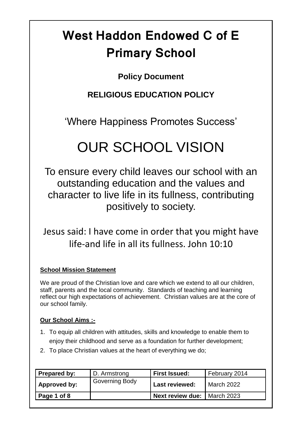# **West Haddon Endowed C of E Primary School**

# **Policy Document**

# **RELIGIOUS EDUCATION POLICY**

'Where Happiness Promotes Success'

# OUR SCHOOL VISION

To ensure every child leaves our school with an outstanding education and the values and character to live life in its fullness, contributing positively to society.

Jesus said: I have come in order that you might have life-and life in all its fullness. John 10:10

# **School Mission Statement**

We are proud of the Christian love and care which we extend to all our children, staff, parents and the local community. Standards of teaching and learning reflect our high expectations of achievement. Christian values are at the core of our school family.

# **Our School Aims :-**

- 1. To equip all children with attitudes, skills and knowledge to enable them to enjoy their childhood and serve as a foundation for further development;
- 2. To place Christian values at the heart of everything we do;

| Prepared by: | D. Armstrong          | <b>First Issued:</b>    | February 2014     |
|--------------|-----------------------|-------------------------|-------------------|
| Approved by: | <b>Governing Body</b> | <b>Last reviewed:</b>   | <b>March 2022</b> |
| Page 1 of 8  |                       | <b>Next review due:</b> | <b>March 2023</b> |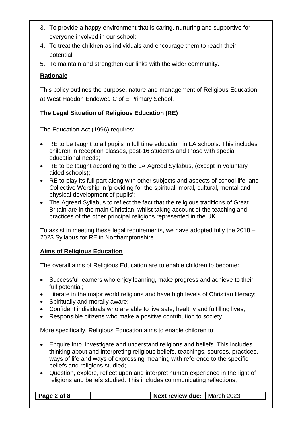- 3. To provide a happy environment that is caring, nurturing and supportive for everyone involved in our school;
- 4. To treat the children as individuals and encourage them to reach their potential;
- 5. To maintain and strengthen our links with the wider community.

### **Rationale**

This policy outlines the purpose, nature and management of Religious Education at West Haddon Endowed C of E Primary School.

# **The Legal Situation of Religious Education (RE)**

The Education Act (1996) requires:

- RE to be taught to all pupils in full time education in LA schools. This includes children in reception classes, post-16 students and those with special educational needs;
- RE to be taught according to the LA Agreed Syllabus, (except in voluntary aided schools);
- RE to play its full part along with other subjects and aspects of school life, and Collective Worship in 'providing for the spiritual, moral, cultural, mental and physical development of pupils';
- The Agreed Syllabus to reflect the fact that the religious traditions of Great Britain are in the main Christian, whilst taking account of the teaching and practices of the other principal religions represented in the UK.

To assist in meeting these legal requirements, we have adopted fully the 2018 – 2023 Syllabus for RE in Northamptonshire.

#### **Aims of Religious Education**

The overall aims of Religious Education are to enable children to become:

- Successful learners who enjoy learning, make progress and achieve to their full potential;
- Literate in the major world religions and have high levels of Christian literacy;
- Spiritually and morally aware;
- Confident individuals who are able to live safe, healthy and fulfilling lives;
- Responsible citizens who make a positive contribution to society.

More specifically, Religious Education aims to enable children to:

- Enquire into, investigate and understand religions and beliefs. This includes thinking about and interpreting religious beliefs, teachings, sources, practices, ways of life and ways of expressing meaning with reference to the specific beliefs and religions studied;
- Question, explore, reflect upon and interpret human experience in the light of religions and beliefs studied. This includes communicating reflections,

| $\vert$ Page 2 of 8 | Next review due: March 2023 |  |
|---------------------|-----------------------------|--|
|                     |                             |  |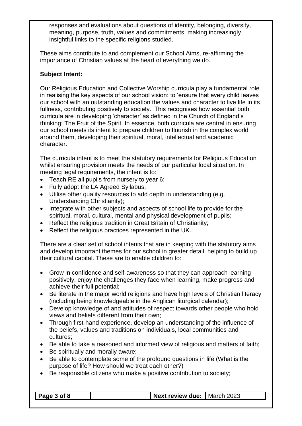responses and evaluations about questions of identity, belonging, diversity, meaning, purpose, truth, values and commitments, making increasingly insightful links to the specific religions studied.

These aims contribute to and complement our School Aims, re-affirming the importance of Christian values at the heart of everything we do.

#### **Subject Intent:**

Our Religious Education and Collective Worship curricula play a fundamental role in realising the key aspects of our school vision: to 'ensure that every child leaves our school with an outstanding education the values and character to live life in its fullness, contributing positively to society.' This recognises how essential both curricula are in developing 'character' as defined in the Church of England's thinking: The Fruit of the Spirit. In essence, both curricula are central in ensuring our school meets its intent to prepare children to flourish in the complex world around them, developing their spiritual, moral, intellectual and academic character.

The curricula intent is to meet the statutory requirements for Religious Education whilst ensuring provision meets the needs of our particular local situation. In meeting legal requirements, the intent is to:

- Teach RE all pupils from nursery to year 6;
- Fully adopt the LA Agreed Syllabus;
- Utilise other quality resources to add depth in understanding (e.g. Understanding Christianity);
- Integrate with other subjects and aspects of school life to provide for the spiritual, moral, cultural, mental and physical development of pupils;
- Reflect the religious tradition in Great Britain of Christianity:
- Reflect the religious practices represented in the UK.

There are a clear set of school intents that are in keeping with the statutory aims and develop important themes for our school in greater detail, helping to build up their cultural capital. These are to enable children to:

- Grow in confidence and self-awareness so that they can approach learning positively, enjoy the challenges they face when learning, make progress and achieve their full potential;
- Be literate in the major world religions and have high levels of Christian literacy (including being knowledgeable in the Anglican liturgical calendar);
- Develop knowledge of and attitudes of respect towards other people who hold views and beliefs different from their own;
- Through first-hand experience, develop an understanding of the influence of the beliefs, values and traditions on individuals, local communities and cultures;
- Be able to take a reasoned and informed view of religious and matters of faith;
- Be spiritually and morally aware;
- Be able to contemplate some of the profound questions in life (What is the purpose of life? How should we treat each other?)
- Be responsible citizens who make a positive contribution to society;

| of $8$<br>. | review due:<br>. | วกวจ<br>March<br>.uzə |
|-------------|------------------|-----------------------|
|             |                  |                       |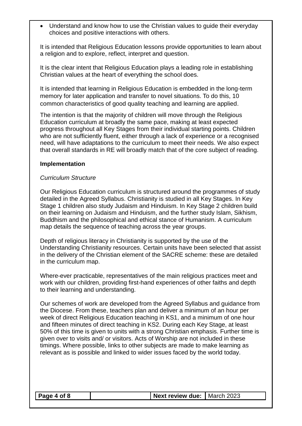• Understand and know how to use the Christian values to guide their everyday choices and positive interactions with others.

It is intended that Religious Education lessons provide opportunities to learn about a religion and to explore, reflect, interpret and question.

It is the clear intent that Religious Education plays a leading role in establishing Christian values at the heart of everything the school does.

It is intended that learning in Religious Education is embedded in the long-term memory for later application and transfer to novel situations. To do this, 10 common characteristics of good quality teaching and learning are applied.

The intention is that the majority of children will move through the Religious Education curriculum at broadly the same pace, making at least expected progress throughout all Key Stages from their individual starting points. Children who are not sufficiently fluent, either through a lack of experience or a recognised need, will have adaptations to the curriculum to meet their needs. We also expect that overall standards in RE will broadly match that of the core subject of reading.

#### **Implementation**

#### *Curriculum Structure*

Our Religious Education curriculum is structured around the programmes of study detailed in the Agreed Syllabus. Christianity is studied in all Key Stages. In Key Stage 1 children also study Judaism and Hinduism. In Key Stage 2 children build on their learning on Judaism and Hinduism, and the further study Islam, Sikhism, Buddhism and the philosophical and ethical stance of Humanism. A curriculum map details the sequence of teaching across the year groups.

Depth of religious literacy in Christianity is supported by the use of the Understanding Christianity resources. Certain units have been selected that assist in the delivery of the Christian element of the SACRE scheme: these are detailed in the curriculum map.

Where-ever practicable, representatives of the main religious practices meet and work with our children, providing first-hand experiences of other faiths and depth to their learning and understanding.

Our schemes of work are developed from the Agreed Syllabus and guidance from the Diocese. From these, teachers plan and deliver a minimum of an hour per week of direct Religious Education teaching in KS1, and a minimum of one hour and fifteen minutes of direct teaching in KS2. During each Key Stage, at least 50% of this time is given to units with a strong Christian emphasis. Further time is given over to visits and/ or visitors. Acts of Worship are not included in these timings. Where possible, links to other subjects are made to make learning as relevant as is possible and linked to wider issues faced by the world today.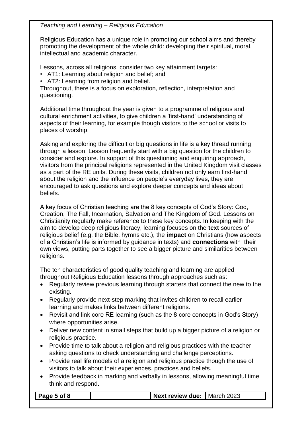*Teaching and Learning – Religious Education*

Religious Education has a unique role in promoting our school aims and thereby promoting the development of the whole child: developing their spiritual, moral, intellectual and academic character.

Lessons, across all religions, consider two key attainment targets:

- AT1: Learning about religion and belief; and
- AT2: Learning from religion and belief.

Throughout, there is a focus on exploration, reflection, interpretation and questioning.

Additional time throughout the year is given to a programme of religious and cultural enrichment activities, to give children a 'first-hand' understanding of aspects of their learning, for example though visitors to the school or visits to places of worship.

Asking and exploring the difficult or big questions in life is a key thread running through a lesson. Lesson frequently start with a big question for the children to consider and explore. In support of this questioning and enquiring approach, visitors from the principal religions represented in the United Kingdom visit classes as a part of the RE units. During these visits, children not only earn first-hand about the religion and the influence on people's everyday lives, they are encouraged to ask questions and explore deeper concepts and ideas about beliefs.

A key focus of Christian teaching are the 8 key concepts of God's Story: God, Creation, The Fall, Incarnation, Salvation and The Kingdom of God. Lessons on Christianity regularly make reference to these key concepts. In keeping with the aim to develop deep religious literacy, learning focuses on the **text** sources of religious belief (e.g. the Bible, hymns etc.), the **impact** on Christians (how aspects of a Christian's life is informed by guidance in texts) and **connections** with their own views, putting parts together to see a bigger picture and similarities between religions.

The ten characteristics of good quality teaching and learning are applied throughout Religious Education lessons through approaches such as:

- Regularly review previous learning through starters that connect the new to the existing.
- Regularly provide next-step marking that invites children to recall earlier learning and makes links between different religions.
- Revisit and link core RE learning (such as the 8 core concepts in God's Story) where opportunities arise.
- Deliver new content in small steps that build up a bigger picture of a religion or religious practice.
- Provide time to talk about a religion and religious practices with the teacher asking questions to check understanding and challenge perceptions.
- Provide real life models of a religion and religious practice though the use of visitors to talk about their experiences, practices and beliefs.
- Provide feedback in marking and verbally in lessons, allowing meaningful time think and respond.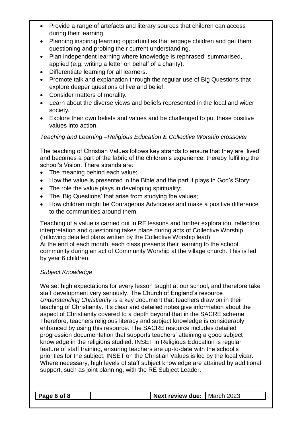- Provide a range of artefacts and literary sources that children can access during their learning.
- Planning inspiring learning opportunities that engage children and get them questioning and probing their current understanding.
- Plan independent learning where knowledge is rephrased, summarised, applied (e.g. writing a letter on behalf of a charity).
- Differentiate learning for all learners.
- Promote talk and explanation through the regular use of Big Questions that explore deeper questions of live and belief.
- Consider matters of morality.
- Learn about the diverse views and beliefs represented in the local and wider society.
- Explore their own beliefs and values and be challenged to put these positive values into action.

### *Teaching and Learning –Religious Education & Collective Worship crossover*

The teaching of Christian Values follows key strands to ensure that they are 'lived' and becomes a part of the fabric of the children's experience, thereby fulfilling the school's Vision. There strands are:

- The meaning behind each value;
- How the value is presented in the Bible and the part it plays in God's Story;
- The role the value plays in developing spirituality;
- The 'Big Questions' that arise from studying the values;
- How children might be Courageous Advocates and make a positive difference to the communities around them.

Teaching of a value is carried out in RE lessons and further exploration, reflection, interpretation and questioning takes place during acts of Collective Worship (following detailed plans written by the Collective Worship lead). At the end of each month, each class presents their learning to the school community during an act of Community Worship at the village church. This is led by year 6 children.

#### *Subject Knowledge*

We set high expectations for every lesson taught at our school, and therefore take staff development very seriously. The Church of England's resource *Understanding Christianity* is a key document that teachers draw on in their teaching of Christianity. It's clear and detailed notes give information about the aspect of Christianity covered to a depth beyond that in the SACRE scheme. Therefore, teachers religious literacy and subject knowledge is considerably enhanced by using this resource. The SACRE resource includes detailed progression documentation that supports teachers' attaining a good subject knowledge in the religions studied. INSET in Religious Education is regular feature of staff training, ensuring teachers are up-to-date with the school's priorities for the subject. INSET on the Christian Values is led by the local vicar. Where necessary, high levels of staff subject knowledge are attained by additional support, such as joint planning, with the RE Subject Leader.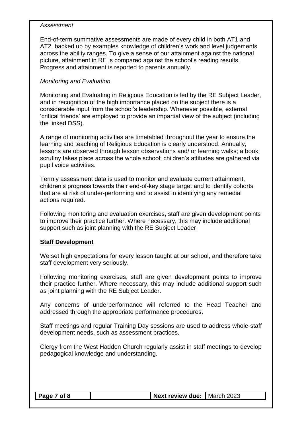#### *Assessment*

End-of-term summative assessments are made of every child in both AT1 and AT2, backed up by examples knowledge of children's work and level judgements across the ability ranges. To give a sense of our attainment against the national picture, attainment in RE is compared against the school's reading results. Progress and attainment is reported to parents annually.

#### *Monitoring and Evaluation*

Monitoring and Evaluating in Religious Education is led by the RE Subject Leader, and in recognition of the high importance placed on the subject there is a considerable input from the school's leadership. Whenever possible, external 'critical friends' are employed to provide an impartial view of the subject (including the linked DSS).

A range of monitoring activities are timetabled throughout the year to ensure the learning and teaching of Religious Education is clearly understood. Annually, lessons are observed through lesson observations and/ or learning walks; a book scrutiny takes place across the whole school; children's attitudes are gathered via pupil voice activities.

Termly assessment data is used to monitor and evaluate current attainment, children's progress towards their end-of-key stage target and to identify cohorts that are at risk of under-performing and to assist in identifying any remedial actions required.

Following monitoring and evaluation exercises, staff are given development points to improve their practice further. Where necessary, this may include additional support such as joint planning with the RE Subject Leader.

#### **Staff Development**

We set high expectations for every lesson taught at our school, and therefore take staff development very seriously.

Following monitoring exercises, staff are given development points to improve their practice further. Where necessary, this may include additional support such as joint planning with the RE Subject Leader.

Any concerns of underperformance will referred to the Head Teacher and addressed through the appropriate performance procedures.

Staff meetings and regular Training Day sessions are used to address whole-staff development needs, such as assessment practices.

Clergy from the West Haddon Church regularly assist in staff meetings to develop pedagogical knowledge and understanding.